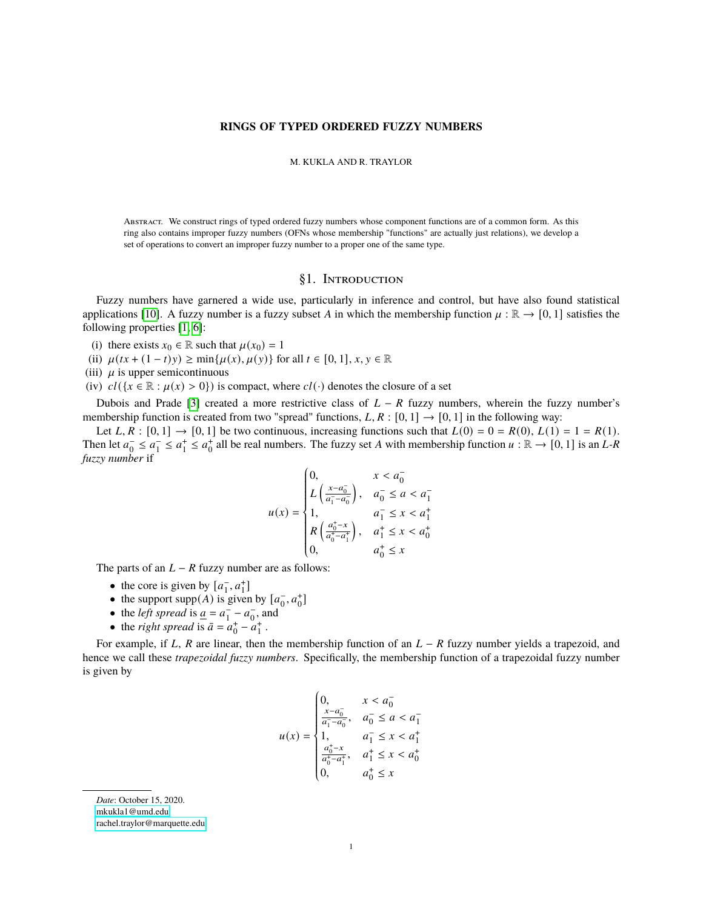#### **RINGS OF TYPED ORDERED FUZZY NUMBERS**

#### M. KUKLA AND R. TRAYLOR

Abstract. We construct rings of typed ordered fuzzy numbers whose component functions are of a common form. As this ring also contains improper fuzzy numbers (OFNs whose membership "functions" are actually just relations), we develop a set of operations to convert an improper fuzzy number to a proper one of the same type.

#### §1. INTRODUCTION

Fuzzy numbers have garnered a wide use, particularly in inference and control, but have also found statistical applications [\[10\]](#page-11-0). A fuzzy number is a fuzzy subset A in which the membership function  $\mu : \mathbb{R} \to [0, 1]$  satisfies the following properties [\[1,](#page-11-1) [6\]](#page-11-2):

- (i) there exists  $x_0 \in \mathbb{R}$  such that  $\mu(x_0) = 1$
- (ii)  $\mu(tx + (1 t)y) \ge \min\{\mu(x), \mu(y)\}\$  for all  $t \in [0, 1], x, y \in \mathbb{R}$
- (iii)  $\mu$  is upper semicontinuous
- (iv)  $cl({x \in \mathbb{R} : \mu(x) > 0})$  is compact, where  $cl(\cdot)$  denotes the closure of a set

Dubois and Prade [\[3\]](#page-11-3) created a more restrictive class of  $L - R$  fuzzy numbers, wherein the fuzzy number's membership function is created from two "spread" functions,  $L, R : [0, 1] \rightarrow [0, 1]$  in the following way:

Let  $L, R : [0, 1] \rightarrow [0, 1]$  be two continuous, increasing functions such that  $L(0) = 0 = R(0), L(1) = 1 = R(1)$ . Then let  $a_0^- \le a_1^- \le a_0^+ \le a_0^+$  all be real numbers. The fuzzy set A with membership function  $u : \mathbb{R} \to [0, 1]$  is an *L-R fuzzy number* if

$$
u(x) = \begin{cases} 0, & x < a_0^- \\ L\left(\frac{x-a_0^-}{a_1^- - a_0}\right), & a_0^- \le a < a_1^- \\ 1, & a_1^- \le x < a_1^+ \\ R\left(\frac{a_0^+ - x}{a_0^+ - a_1^+}\right), & a_1^+ \le x < a_0^+ \\ 0, & a_0^+ \le x \end{cases}
$$

The parts of an  $L - R$  fuzzy number are as follows:

- the core is given by  $[a_1^-, a_1^+]$
- the support supp(A) is given by  $[a_0^-, a_0^+]$
- the *left spread* is  $\underline{a} = a_1^- a_0^-$ , and
- the *right spread* is  $\bar{a} = a_0^+ a_1^+$ .

For example, if  $L$ ,  $R$  are linear, then the membership function of an  $L - R$  fuzzy number yields a trapezoid, and hence we call these *trapezoidal fuzzy numbers*. Specifically, the membership function of a trapezoidal fuzzy number is given by

$$
u(x) = \begin{cases} 0, & x < a_0^- \\ \frac{x - a_0^-}{a_1^- - a_0^-}, & a_0^- \le a < a_1^- \\ 1, & a_1^- \le x < a_1^+ \\ \frac{a_0^+ - x}{a_0^+ - a_1^+}, & a_1^+ \le x < a_0^+ \\ 0, & a_0^+ \le x \end{cases}
$$

*Date*: October 15, 2020.

[mkukla1@umd.edu.](mailto:mkukla1@umd.edu)

[rachel.traylor@marquette.edu.](mailto:rachel.traylor@marquette.edu)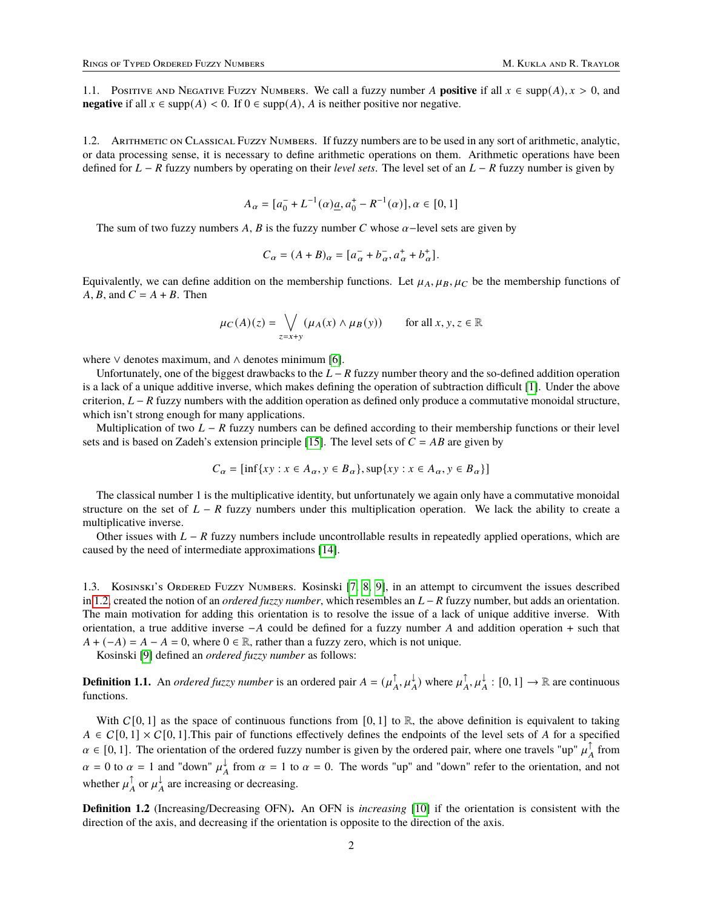1.1. POSITIVE AND NEGATIVE FUZZY NUMBERS. We call a fuzzy number A **positive** if all  $x \in \text{supp}(A), x > 0$ , and **negative** if all  $x \in \text{supp}(A) < 0$ . If  $0 \in \text{supp}(A)$ , A is neither positive nor negative.

<span id="page-1-0"></span>1.2. Arithmetic on Classical Fuzzy Numbers. If fuzzy numbers are to be used in any sort of arithmetic, analytic, or data processing sense, it is necessary to define arithmetic operations on them. Arithmetic operations have been defined for  $L - R$  fuzzy numbers by operating on their *level sets*. The level set of an  $L - R$  fuzzy number is given by

$$
A_{\alpha} = [a_0^- + L^{-1}(\alpha) \underline{a}, a_0^+ - R^{-1}(\alpha)], \alpha \in [0, 1]
$$

The sum of two fuzzy numbers A, B is the fuzzy number C whose  $\alpha$ –level sets are given by

$$
C_{\alpha} = (A + B)_{\alpha} = [a_{\alpha}^+ + b_{\alpha}^-, a_{\alpha}^+ + b_{\alpha}^+].
$$

Equivalently, we can define addition on the membership functions. Let  $\mu_A$ ,  $\mu_B$ ,  $\mu_C$  be the membership functions of  $A, B$ , and  $C = A + B$ . Then

$$
\mu_C(A)(z) = \bigvee_{z=x+y} (\mu_A(x) \land \mu_B(y)) \quad \text{for all } x, y, z \in \mathbb{R}
$$

where  $∨$  denotes maximum, and  $∧$  denotes minimum [\[6\]](#page-11-2).

Unfortunately, one of the biggest drawbacks to the  $L - R$  fuzzy number theory and the so-defined addition operation is a lack of a unique additive inverse, which makes defining the operation of subtraction difficult [\[1\]](#page-11-1). Under the above criterion,  $L - R$  fuzzy numbers with the addition operation as defined only produce a commutative monoidal structure, which isn't strong enough for many applications.

Multiplication of two  $L - R$  fuzzy numbers can be defined according to their membership functions or their level sets and is based on Zadeh's extension principle [\[15\]](#page-11-4). The level sets of  $C = AB$  are given by

$$
C_{\alpha} = [\inf\{xy : x \in A_{\alpha}, y \in B_{\alpha}\}, \sup\{xy : x \in A_{\alpha}, y \in B_{\alpha}\}]
$$

The classical number 1 is the multiplicative identity, but unfortunately we again only have a commutative monoidal structure on the set of  $L - R$  fuzzy numbers under this multiplication operation. We lack the ability to create a multiplicative inverse.

Other issues with  $L - R$  fuzzy numbers include uncontrollable results in repeatedly applied operations, which are caused by the need of intermediate approximations [\[14\]](#page-11-5).

<span id="page-1-1"></span>1.3. Kosinski's Ordered Fuzzy Numbers. Kosinski [\[7,](#page-11-6) [8,](#page-11-7) [9\]](#page-11-8), in an attempt to circumvent the issues described in [1.2,](#page-1-0) created the notion of an *ordered fuzzy number*, which resembles an  $L - R$  fuzzy number, but adds an orientation. The main motivation for adding this orientation is to resolve the issue of a lack of unique additive inverse. With orientation, a true additive inverse  $-A$  could be defined for a fuzzy number A and addition operation + such that  $A + (-A) = A - A = 0$ , where  $0 \in \mathbb{R}$ , rather than a fuzzy zero, which is not unique.

Kosinski [\[9\]](#page-11-8) defined an *ordered fuzzy number* as follows:

**Definition 1.1.** An *ordered fuzzy number* is an ordered pair  $A = (\mu_A^{\uparrow}, \mu_A^{\downarrow})$  where  $\mu_A^{\uparrow}, \mu_A^{\downarrow} : [0,1] \to \mathbb{R}$  are continuous functions.

With  $C[0, 1]$  as the space of continuous functions from [0, 1] to R, the above definition is equivalent to taking  $A \in C[0,1] \times C[0,1]$ . This pair of functions effectively defines the endpoints of the level sets of A for a specified  $\alpha \in [0, 1]$ . The orientation of the ordered fuzzy number is given by the ordered pair, where one travels "up"  $\mu_A^{\uparrow}$  from  $\alpha = 0$  to  $\alpha = 1$  and "down"  $\mu_A^{\downarrow}$  from  $\alpha = 1$  to  $\alpha = 0$ . The words "up" and "down" refer to the orientation, and not whether  $\mu_A^{\uparrow}$  or  $\mu_A^{\downarrow}$  are increasing or decreasing.

**Definition 1.2** (Increasing/Decreasing OFN)**.** An OFN is *increasing* [\[10\]](#page-11-0) if the orientation is consistent with the direction of the axis, and decreasing if the orientation is opposite to the direction of the axis.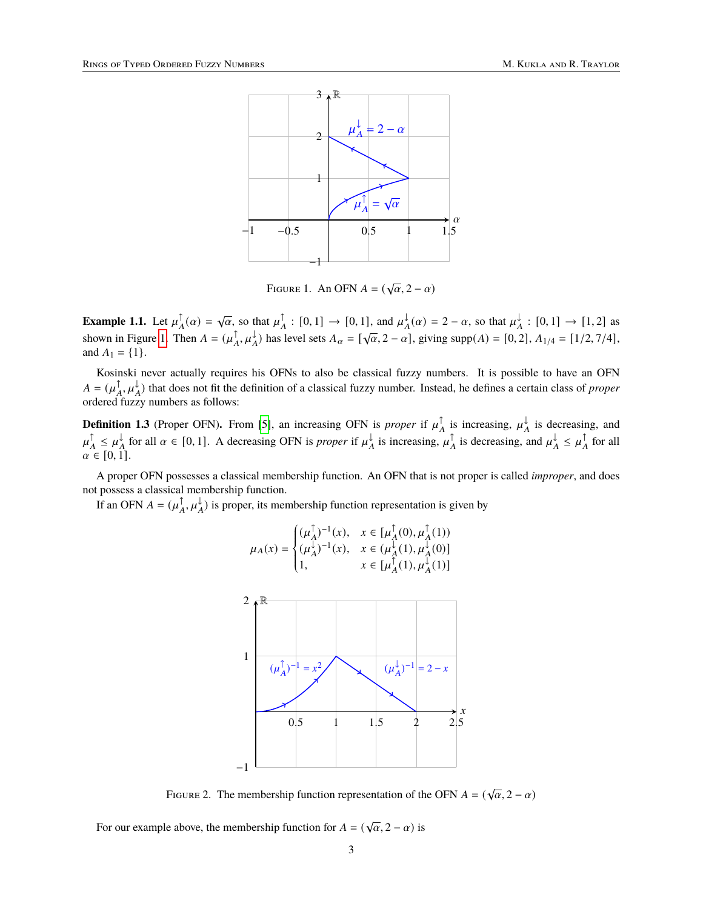<span id="page-2-0"></span>

FIGURE 1. An OFN  $A = (\sqrt{\alpha}, 2 - \alpha)$ 

**Example 1.1.** Let  $\mu_A^{\uparrow}(\alpha) = \sqrt{\alpha}$ , so that  $\mu_A^{\uparrow} : [0,1] \rightarrow [0,1]$ , and  $\mu_A^{\downarrow}(\alpha) = 2 - \alpha$ , so that  $\mu_A^{\downarrow} : [0,1] \rightarrow [1,2]$  as shown in Figure [1.](#page-2-0) Then  $A = (\mu_A^{\dagger}, \mu_A^{\dagger})$  has level sets  $A_{\alpha} = [\sqrt{\alpha}, 2 - \alpha]$ , giving supp $(A) = [0, 2]$ ,  $A_{1/4} = [1/2, 7/4]$ , and  $A_1 = \{1\}$ .

Kosinski never actually requires his OFNs to also be classical fuzzy numbers. It is possible to have an OFN  $A = (\mu_A^{\uparrow}, \mu_A^{\downarrow})$  that does not fit the definition of a classical fuzzy number. Instead, he defines a certain class of *proper* ordered fuzzy numbers as follows:

**Definition 1.3** (Proper OFN). From [\[5\]](#page-11-9), an increasing OFN is *proper* if  $\mu_A^{\uparrow}$  is increasing,  $\mu_A^{\downarrow}$  is decreasing, and  $\mu_A^{\uparrow} \leq \mu_A^{\downarrow}$  for all  $\alpha \in [0, 1]$ . A decreasing OFN is *proper* if  $\mu_A^{\downarrow}$  is increasing,  $\mu_A^{\uparrow}$  is decreasing, and  $\mu_A^{\downarrow} \leq \mu_A^{\uparrow}$  for all  $\alpha \in [0, 1].$ 

A proper OFN possesses a classical membership function. An OFN that is not proper is called *improper*, and does not possess a classical membership function.

> $(\mu_A^{\uparrow})^{-1}(x), \quad x \in [\mu_A^{\uparrow}(0), \mu_A^{\uparrow}(1))$  $(\mu_A^{\downarrow})^{-1}(x), \quad x \in (\mu_A^{\downarrow}(1), \mu_A^{\downarrow}(0)]$

If an OFN  $A = (\mu_A^{\uparrow}, \mu_A^{\downarrow})$  is proper, its membership function representation is given by

 $\mu_A(x) = \begin{cases} \frac{1}{2} & \text{if } x \neq 0 \\ 0 & \text{if } x = 0 \end{cases}$ 



FIGURE 2. The membership function representation of the OFN  $A = (\sqrt{\alpha}, 2 - \alpha)$ 

For our example above, the membership function for  $A = (\sqrt{\alpha}, 2 - \alpha)$  is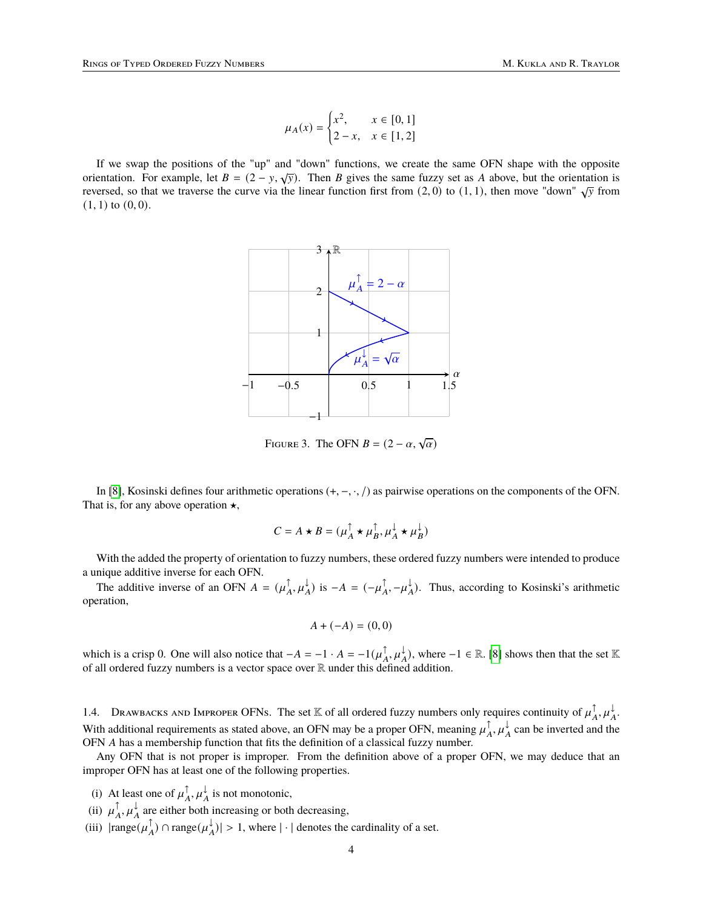$$
\mu_A(x) = \begin{cases} x^2, & x \in [0, 1] \\ 2 - x, & x \in [1, 2] \end{cases}
$$

If we swap the positions of the "up" and "down" functions, we create the same OFN shape with the opposite If we swap the positions of the up and down functions, we create the same OFN shape with the opposite orientation. For example, let  $B = (2 - y, \sqrt{y})$ . Then B gives the same fuzzy set as A above, but the orientation is reversed, so that we traverse the curve via the linear function first from (2,0) to (1, 1), then move "down"  $\sqrt{y}$  from  $(1, 1)$  to  $(0, 0)$ .



FIGURE 3. The OFN  $B = (2 - \alpha, \sqrt{\alpha})$ 

In [\[8\]](#page-11-7), Kosinski defines four arithmetic operations (+, −, ·, /) as pairwise operations on the components of the OFN. That is, for any above operation  $\star$ ,

$$
C = A \star B = (\mu_A^{\uparrow} \star \mu_B^{\uparrow}, \mu_A^{\downarrow} \star \mu_B^{\downarrow})
$$

With the added the property of orientation to fuzzy numbers, these ordered fuzzy numbers were intended to produce a unique additive inverse for each OFN.

The additive inverse of an OFN  $A = (\mu_A^{\uparrow}, \mu_A^{\downarrow})$  is  $-A = (-\mu_A^{\uparrow}, -\mu_A^{\downarrow})$ . Thus, according to Kosinski's arithmetic operation,

$$
A + (-A) = (0,0)
$$

which is a crisp 0. One will also notice that  $-A = -1 \cdot A = -1(\mu_A^{\uparrow}, \mu_A^{\downarrow})$ , where  $-1 \in \mathbb{R}$ . [\[8\]](#page-11-7) shows then that the set K of all ordered fuzzy numbers is a vector space over R under this defined addition.

1.4. DRAWBACKS AND IMPROPER OFNs. The set K of all ordered fuzzy numbers only requires continuity of  $\mu_A^{\uparrow}$ ,  $\mu_A^{\downarrow}$ . With additional requirements as stated above, an OFN may be a proper OFN, meaning  $\mu_A^{\uparrow}$ ,  $\mu_A^{\downarrow}$  can be inverted and the OFN A has a membership function that fits the definition of a classical fuzzy number.

Any OFN that is not proper is improper. From the definition above of a proper OFN, we may deduce that an improper OFN has at least one of the following properties.

- (i) At least one of  $\mu_A^{\uparrow}$ ,  $\mu_A^{\downarrow}$  is not monotonic,
- (ii)  $\mu_A^{\uparrow}$ ,  $\mu_A^{\downarrow}$  are either both increasing or both decreasing,
- (iii)  $|\text{range}(\mu_A^{\uparrow}) \cap \text{range}(\mu_A^{\downarrow})| > 1$ , where  $|\cdot|$  denotes the cardinality of a set.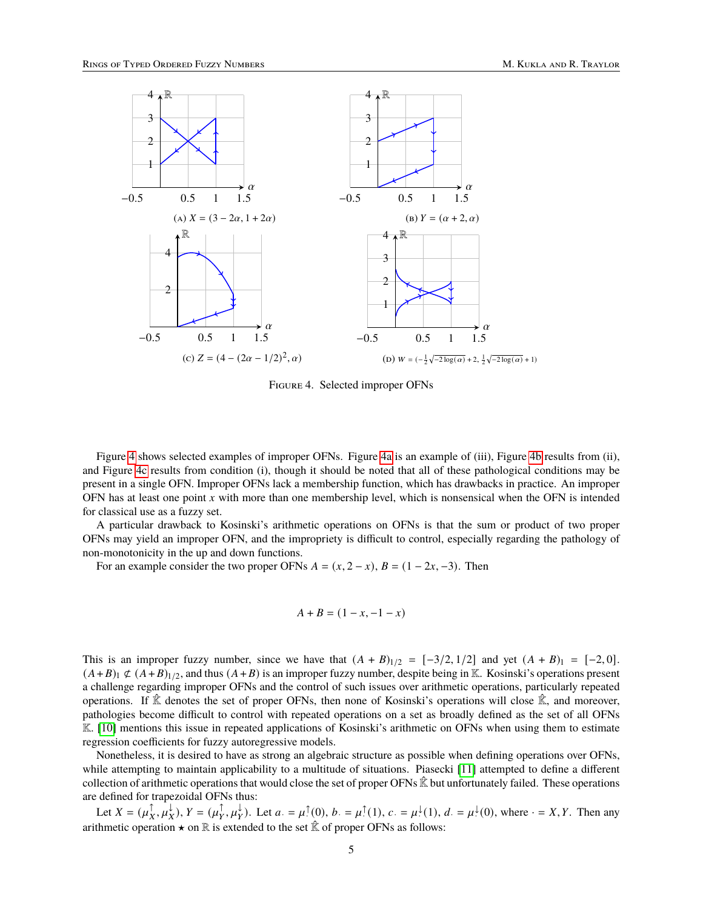<span id="page-4-0"></span>

Figure 4. Selected improper OFNs

Figure [4](#page-4-0) shows selected examples of improper OFNs. Figure [4a](#page-4-0) is an example of (iii), Figure [4b](#page-4-0) results from (ii), and Figure [4c](#page-4-0) results from condition (i), though it should be noted that all of these pathological conditions may be present in a single OFN. Improper OFNs lack a membership function, which has drawbacks in practice. An improper OFN has at least one point  $x$  with more than one membership level, which is nonsensical when the OFN is intended for classical use as a fuzzy set.

A particular drawback to Kosinski's arithmetic operations on OFNs is that the sum or product of two proper OFNs may yield an improper OFN, and the impropriety is difficult to control, especially regarding the pathology of non-monotonicity in the up and down functions.

For an example consider the two proper OFNs  $A = (x, 2 - x), B = (1 - 2x, -3)$ . Then

$$
A + B = (1 - x, -1 - x)
$$

This is an improper fuzzy number, since we have that  $(A + B)_{1/2} = [-3/2, 1/2]$  and yet  $(A + B)_1 = [-2, 0]$ .  $(A + B)_1 \not\subset (A + B)_{1/2}$ , and thus  $(A + B)$  is an improper fuzzy number, despite being in K. Kosinski's operations present a challenge regarding improper OFNs and the control of such issues over arithmetic operations, particularly repeated operations. If  $\hat{\mathbb{K}}$  denotes the set of proper OFNs, then none of Kosinski's operations will close  $\hat{\mathbb{K}}$ , and moreover, pathologies become difficult to control with repeated operations on a set as broadly defined as the set of all OFNs K. [\[10\]](#page-11-0) mentions this issue in repeated applications of Kosinski's arithmetic on OFNs when using them to estimate regression coefficients for fuzzy autoregressive models.

Nonetheless, it is desired to have as strong an algebraic structure as possible when defining operations over OFNs, while attempting to maintain applicability to a multitude of situations. Piasecki [\[11\]](#page-11-10) attempted to define a different collection of arithmetic operations that would close the set of proper OFNs  $\hat{\mathbb{K}}$  but unfortunately failed. These operations are defined for trapezoidal OFNs thus:

Let  $X = (\mu_X^{\uparrow}, \mu_X^{\downarrow})$ ,  $Y = (\mu_Y^{\uparrow}, \mu_Y^{\downarrow})$ . Let  $a = \mu_1^{\uparrow}(0)$ ,  $b = \mu_1^{\uparrow}(1)$ ,  $c = \mu_2^{\downarrow}(1)$ ,  $d = \mu_2^{\downarrow}(0)$ , where  $\cdot = X, Y$ . Then any arithmetic operation  $\star$  on  $\mathbb R$  is extended to the set  $\hat{\mathbb K}$  of proper OFNs as follows: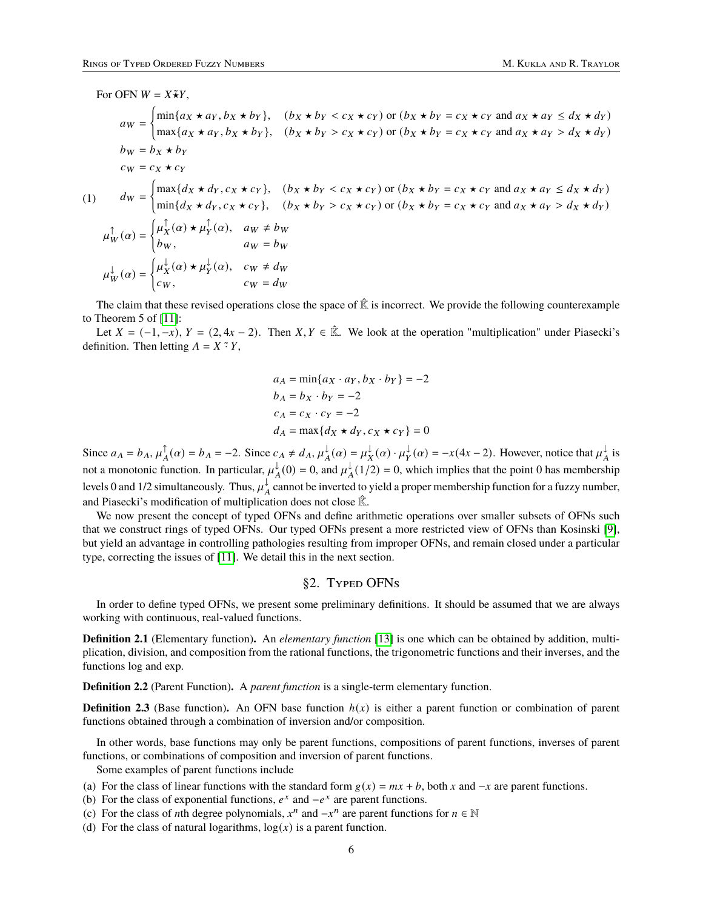For OFN 
$$
W = X \tilde{\star} Y
$$
,  
\n
$$
a_W = \begin{cases}\n\min\{a_X \star a_Y, b_X \star b_Y\}, & (b_X \star b_Y < c_X \star c_Y) \text{ or } (b_X \star b_Y = c_X \star c_Y \text{ and } a_X \star a_Y \leq d_X \star d_Y) \\
\max\{a_X \star a_Y, b_X \star b_Y\}, & (b_X \star b_Y > c_X \star c_Y) \text{ or } (b_X \star b_Y = c_X \star c_Y \text{ and } a_X \star a_Y > d_X \star d_Y) \n\end{cases}
$$
\n
$$
b_W = b_X \star b_Y
$$
\n
$$
c_W = c_X \star c_Y
$$
\n(1)\n
$$
d_W = \begin{cases}\n\max\{d_X \star d_Y, c_X \star c_Y\}, & (b_X \star b_Y < c_X \star c_Y) \text{ or } (b_X \star b_Y = c_X \star c_Y \text{ and } a_X \star a_Y \leq d_X \star d_Y) \\
\min\{d_X \star d_Y, c_X \star c_Y\}, & (b_X \star b_Y > c_X \star c_Y) \text{ or } (b_X \star b_Y = c_X \star c_Y \text{ and } a_X \star a_Y \leq d_X \star d_Y) \n\end{cases}
$$
\n
$$
\mu_W^{\uparrow}(\alpha) = \begin{cases}\n\mu_X^{\uparrow}(\alpha) \star \mu_Y^{\uparrow}(\alpha), & a_W \neq b_W \\
b_W, & a_W = b_W\n\end{cases}
$$
\n
$$
\mu_W^{\downarrow}(\alpha) = \begin{cases}\n\mu_X^{\downarrow}(\alpha) \star \mu_Y^{\downarrow}(\alpha), & c_W \neq d_W \\
c_W, & c_W = d_W\n\end{cases}
$$

The claim that these revised operations close the space of  $\hat{\mathbb{K}}$  is incorrect. We provide the following counterexample to Theorem 5 of [\[11\]](#page-11-10):

Let  $X = (-1, -x)$ ,  $Y = (2, 4x - 2)$ . Then  $X, Y \in \mathbb{R}$ . We look at the operation "multiplication" under Piasecki's definition. Then letting  $A = X \cdot Y$ ,

$$
aA = min{aX · aY, bX · bY} = -2
$$
  
\n
$$
bA = bX · bY = -2
$$
  
\n
$$
cA = cX · cY = -2
$$
  
\n
$$
dA = max{dX × dY, cX × cY} = 0
$$

Since  $a_A = b_A$ ,  $\mu_A^{\uparrow}(\alpha) = b_A = -2$ . Since  $c_A \neq d_A$ ,  $\mu_A^{\downarrow}(\alpha) = \mu_X^{\downarrow}(\alpha) \cdot \mu_Y^{\downarrow}(\alpha) = -x(4x - 2)$ . However, notice that  $\mu_A^{\downarrow}$  is not a monotonic function. In particular,  $\mu_A^{\downarrow}(0) = 0$ , and  $\mu_A^{\downarrow}(1/2) = 0$ , which implies that the point 0 has membership levels 0 and 1/2 simultaneously. Thus,  $\mu_A^\downarrow$  cannot be inverted to yield a proper membership function for a fuzzy number, and Piasecki's modification of multiplication does not close  $\mathbb{R}$ .

We now present the concept of typed OFNs and define arithmetic operations over smaller subsets of OFNs such that we construct rings of typed OFNs. Our typed OFNs present a more restricted view of OFNs than Kosinski [\[9\]](#page-11-8), but yield an advantage in controlling pathologies resulting from improper OFNs, and remain closed under a particular type, correcting the issues of [\[11\]](#page-11-10). We detail this in the next section.

## §2. Typed OFNs

In order to define typed OFNs, we present some preliminary definitions. It should be assumed that we are always working with continuous, real-valued functions.

**Definition 2.1** (Elementary function)**.** An *elementary function* [\[13\]](#page-11-11) is one which can be obtained by addition, multiplication, division, and composition from the rational functions, the trigonometric functions and their inverses, and the functions log and exp.

**Definition 2.2** (Parent Function)**.** A *parent function* is a single-term elementary function.

**Definition 2.3** (Base function). An OFN base function  $h(x)$  is either a parent function or combination of parent functions obtained through a combination of inversion and/or composition.

In other words, base functions may only be parent functions, compositions of parent functions, inverses of parent functions, or combinations of composition and inversion of parent functions.

Some examples of parent functions include

- (a) For the class of linear functions with the standard form  $g(x) = mx + b$ , both x and  $-x$  are parent functions.
- (b) For the class of exponential functions,  $e^x$  and  $-e^x$  are parent functions.
- (c) For the class of *n*th degree polynomials,  $x^n$  and  $-x^n$  are parent functions for  $n \in \mathbb{N}$
- (d) For the class of natural logarithms,  $log(x)$  is a parent function.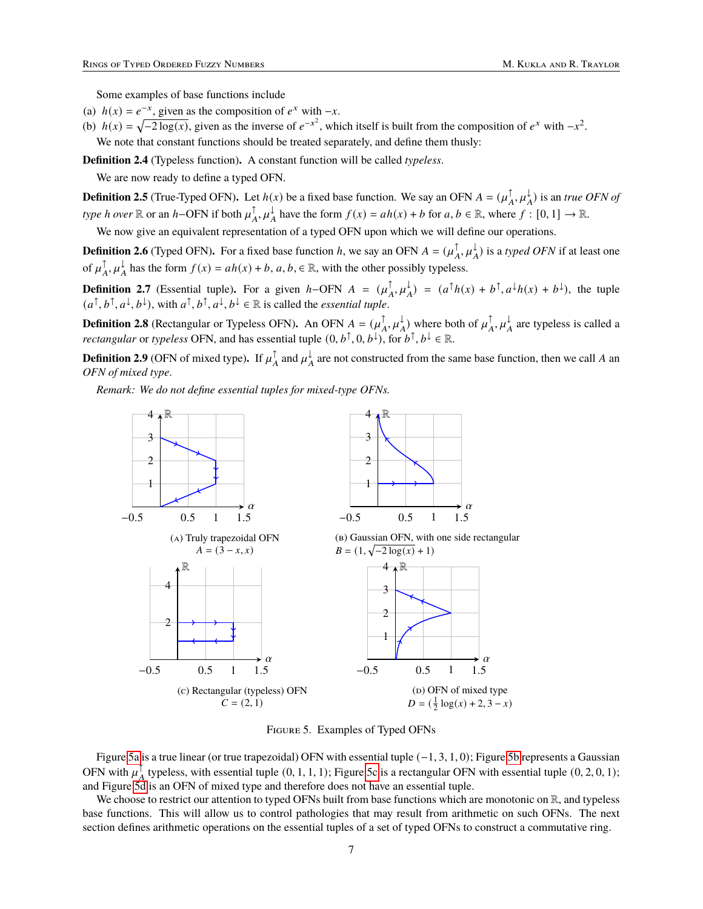Some examples of base functions include

(a)  $h(x) = e^{-x}$ , given as the composition of  $e^x$  with  $-x$ .

(b)  $h(x) = \sqrt{-2 \log(x)}$ , given as the inverse of  $e^{-x^2}$ , which itself is built from the composition of  $e^x$  with  $-x^2$ . We note that constant functions should be treated separately, and define them thusly:

**Definition 2.4** (Typeless function)**.** A constant function will be called *typeless*.

We are now ready to define a typed OFN.

**Definition 2.5** (True-Typed OFN). Let  $h(x)$  be a fixed base function. We say an OFN  $A = (\mu_A^{\uparrow}, \mu_A^{\downarrow})$  is an *true OFN of type h over* ℝ or an *h*-OFN if both  $\mu_A^{\uparrow}$ ,  $\mu_A^{\downarrow}$  have the form  $f(x) = ah(x) + b$  for  $a, b \in \mathbb{R}$ , where  $f : [0, 1] \to \mathbb{R}$ .

We now give an equivalent representation of a typed OFN upon which we will define our operations.

**Definition 2.6** (Typed OFN). For a fixed base function h, we say an OFN  $A = (\mu_A^\uparrow, \mu_A^\downarrow)$  is a typed OFN if at least one of  $\mu_A^{\uparrow}$ ,  $\mu_A^{\downarrow}$  has the form  $f(x) = ah(x) + b$ ,  $a, b \in \mathbb{R}$ , with the other possibly typeless.

**Definition 2.7** (Essential tuple). For a given  $h$ -OFN  $A = (\mu_A^{\uparrow}, \mu_A^{\downarrow}) = (a^{\uparrow}h(x) + b^{\uparrow}, a^{\downarrow}h(x) + b^{\downarrow})$ , the tuple  $(a^{\uparrow}, b^{\uparrow}, a^{\downarrow}, b^{\downarrow})$ , with  $a^{\uparrow}, b^{\uparrow}, a^{\downarrow}, b^{\downarrow} \in \mathbb{R}$  is called the *essential tuple*.

**Definition 2.8** (Rectangular or Typeless OFN). An OFN  $A = (\mu_A^{\uparrow}, \mu_A^{\downarrow})$  where both of  $\mu_A^{\uparrow}, \mu_A^{\downarrow}$  are typeless is called a *rectangular* or *typeless* OFN, and has essential tuple  $(0, b^{\uparrow}, 0, b^{\downarrow})$ , for  $b^{\uparrow}, b^{\downarrow} \in \mathbb{R}$ .

**Definition 2.9** (OFN of mixed type). If  $\mu_A^{\uparrow}$  and  $\mu_A^{\downarrow}$  are not constructed from the same base function, then we call A an *OFN of mixed type*.

<span id="page-6-0"></span>*Remark: We do not define essential tuples for mixed-type OFNs.*



Figure 5. Examples of Typed OFNs

Figure [5a](#page-6-0) is a true linear (or true trapezoidal) OFN with essential tuple (−1, 3, 1, 0); Figure [5b](#page-6-0) represents a Gaussian OFN with  $\mu_A^{\uparrow}$  typeless, with essential tuple  $(0, 1, 1, 1)$ ; Figure [5c](#page-6-0) is a rectangular OFN with essential tuple  $(0, 2, 0, 1)$ ; and Figure [5d](#page-6-0) is an OFN of mixed type and therefore does not have an essential tuple.

We choose to restrict our attention to typed OFNs built from base functions which are monotonic on  $\mathbb{R}$ , and typeless base functions. This will allow us to control pathologies that may result from arithmetic on such OFNs. The next section defines arithmetic operations on the essential tuples of a set of typed OFNs to construct a commutative ring.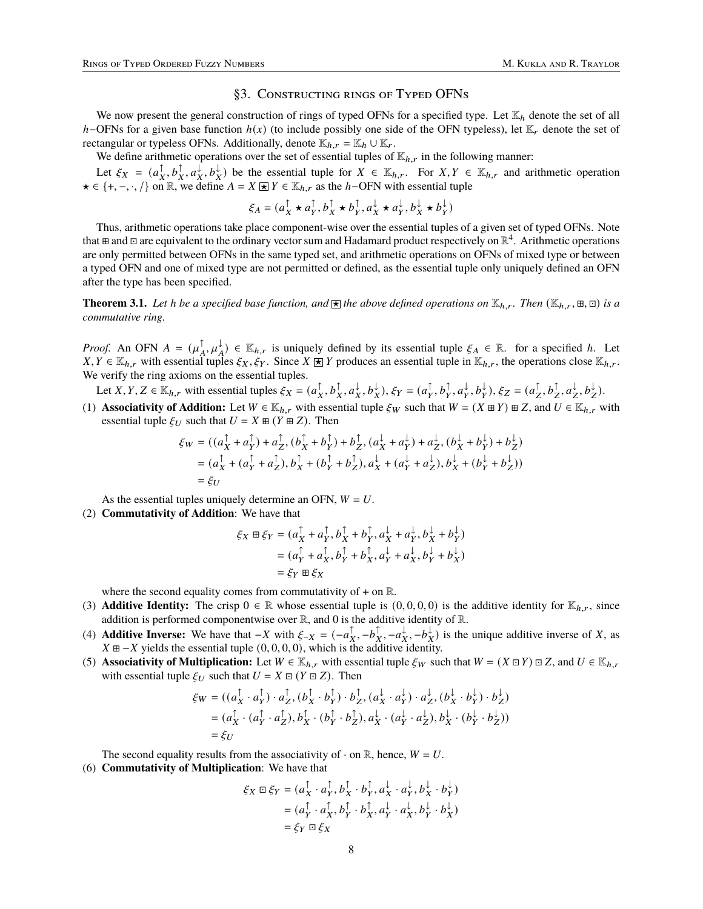#### §3. Constructing rings of Typed OFNs

We now present the general construction of rings of typed OFNs for a specified type. Let  $K_h$  denote the set of all  $h$ −OFNs for a given base function  $h(x)$  (to include possibly one side of the OFN typeless), let K<sub>r</sub> denote the set of rectangular or typeless OFNs. Additionally, denote  $\mathbb{K}_{h,r} = \mathbb{K}_h \cup \mathbb{K}_r$ .

We define arithmetic operations over the set of essential tuples of  $\mathbb{K}_{h,r}$  in the following manner:

Let  $\xi_X = (a_X^{\uparrow}, b_X^{\uparrow}, a_X^{\downarrow}, b_X^{\downarrow})$  be the essential tuple for  $X \in \mathbb{K}_{h,r}$ . For  $X, Y \in \mathbb{K}_{h,r}$  and arithmetic operation  $\star \in \{+, -, \cdot, /\}$  on  $\mathbb{R}$ , we define  $A = X \times Y \in \mathbb{K}_{h,r}$  as the h-OFN with essential tuple

$$
\xi_A = (a_X^{\uparrow} \star a_Y^{\uparrow}, b_X^{\uparrow} \star b_Y^{\uparrow}, a_X^{\downarrow} \star a_Y^{\downarrow}, b_X^{\downarrow} \star b_Y^{\downarrow})
$$

Thus, arithmetic operations take place component-wise over the essential tuples of a given set of typed OFNs. Note that  $\Xi$  and  $\Xi$  are equivalent to the ordinary vector sum and Hadamard product respectively on  $\mathbb{R}^4$ . Arithmetic operations are only permitted between OFNs in the same typed set, and arithmetic operations on OFNs of mixed type or between a typed OFN and one of mixed type are not permitted or defined, as the essential tuple only uniquely defined an OFN after the type has been specified.

**Theorem 3.1.** Let h be a specified base function, and  $\mathbf{F}$  the above defined operations on  $\mathbb{K}_{h,r}$ . Then  $(\mathbb{K}_{h,r}, \mathbf{F}, \mathbf{G})$  is a *commutative ring.*

*Proof.* An OFN  $A = (\mu_A^{\uparrow}, \mu_A^{\downarrow}) \in \mathbb{K}_{h,r}$  is uniquely defined by its essential tuple  $\xi_A \in \mathbb{R}$ . for a specified h. Let  $X, Y \in \mathbb{K}_{h,r}$  with essential tuples  $\xi_X, \xi_Y$ . Since  $X \not\equiv Y$  produces an essential tuple in  $\mathbb{K}_{h,r}$ , the operations close  $\mathbb{K}_{h,r}$ . We verify the ring axioms on the essential tuples.

Let X, Y, Z  $\in \mathbb{K}_{h,r}$  with essential tuples  $\xi_X = (a_X^{\uparrow}, b_X^{\uparrow}, a_X^{\downarrow}, b_X^{\downarrow})$ ,  $\xi_Y = (a_Y^{\uparrow}, b_Y^{\uparrow}, a_Y^{\downarrow}, b_Y^{\downarrow})$ ,  $\xi_Z = (a_Z^{\uparrow}, b_Z^{\uparrow}, a_Z^{\downarrow}, b_Z^{\downarrow})$ .

(1) **Associativity of Addition:** Let  $W \in \mathbb{K}_{h,r}$  with essential tuple  $\xi_W$  such that  $W = (X \oplus Y) \oplus Z$ , and  $U \in \mathbb{K}_{h,r}$  with essential tuple  $\xi_U$  such that  $U = X \boxplus (Y \boxplus Z)$ . Then

$$
\xi_W = ((a_X^{\uparrow} + a_Y^{\uparrow}) + a_Z^{\uparrow}, (b_X^{\uparrow} + b_Y^{\uparrow}) + b_Z^{\uparrow}, (a_X^{\downarrow} + a_Y^{\downarrow}) + a_Z^{\downarrow}, (b_X^{\downarrow} + b_Y^{\downarrow}) + b_Z^{\downarrow})
$$
  
=  $(a_X^{\uparrow} + (a_Y^{\uparrow} + a_Z^{\uparrow}), b_X^{\uparrow} + (b_Y^{\uparrow} + b_Z^{\uparrow}), a_X^{\downarrow} + (a_Y^{\downarrow} + a_Z^{\downarrow}), b_X^{\downarrow} + (b_Y^{\downarrow} + b_Z^{\downarrow}))$   
=  $\xi_U$ 

As the essential tuples uniquely determine an OFN,  $W = U$ .

(2) **Commutativity of Addition**: We have that

$$
\xi_X \boxplus \xi_Y = (a_X^{\uparrow} + a_Y^{\uparrow}, b_X^{\uparrow} + b_Y^{\uparrow}, a_X^{\downarrow} + a_Y^{\downarrow}, b_X^{\downarrow} + b_Y^{\downarrow})
$$
  
=  $(a_Y^{\uparrow} + a_X^{\uparrow}, b_Y^{\uparrow} + b_X^{\uparrow}, a_Y^{\downarrow} + a_X^{\downarrow}, b_Y^{\downarrow} + b_X^{\downarrow})$   
=  $\xi_Y \boxplus \xi_X$ 

where the second equality comes from commutativity of  $+$  on  $\mathbb{R}$ .

- (3) **Additive Identity:** The crisp  $0 \in \mathbb{R}$  whose essential tuple is  $(0, 0, 0, 0)$  is the additive identity for  $\mathbb{K}_{h,r}$ , since addition is performed componentwise over  $\mathbb{R}$ , and 0 is the additive identity of  $\mathbb{R}$ .
- (4) **Additive Inverse:** We have that  $-X$  with  $\xi_{-X} = (-a_X^{\uparrow}, -b_X^{\uparrow}, -a_X^{\downarrow}, -b_X^{\downarrow})$  is the unique additive inverse of X, as  $X \nightharpoonup -X$  yields the essential tuple  $(0, 0, 0, 0)$ , which is the additive identity.
- (5) **Associativity of Multiplication:** Let  $W \in \mathbb{K}_{h,r}$  with essential tuple  $\xi_W$  such that  $W = (X \boxdot Y) \boxdot Z$ , and  $U \in \mathbb{K}_{h,r}$ with essential tuple  $\xi_U$  such that  $U = X \boxdot (Y \boxdot Z)$ . Then

$$
\begin{split} \xi_W = ( (a_X^\uparrow \cdot a_Y^\uparrow) \cdot a_Z^\uparrow, (b_X^\uparrow \cdot b_Y^\uparrow) \cdot b_Z^\uparrow, (a_X^\downarrow \cdot a_Y^\downarrow) \cdot a_Z^\downarrow, (b_X^\downarrow \cdot b_Y^\downarrow) \cdot b_Z^\downarrow) \\ & = (a_X^\uparrow \cdot (a_Y^\uparrow \cdot a_Z^\uparrow), b_X^\uparrow \cdot (b_Y^\uparrow \cdot b_Z^\uparrow), a_X^\downarrow \cdot (a_Y^\downarrow \cdot a_Z^\downarrow), b_X^\downarrow \cdot (b_Y^\downarrow \cdot b_Z^\downarrow)) \\ & = \xi_U \end{split}
$$

The second equality results from the associativity of  $\cdot$  on  $\mathbb{R}$ , hence,  $W = U$ .

(6) **Commutativity of Multiplication**: We have that

$$
\xi_X \boxdot \xi_Y = (a_X^\uparrow \cdot a_Y^\uparrow, b_X^\uparrow \cdot b_Y^\uparrow, a_X^\downarrow \cdot a_Y^\downarrow, b_X^\downarrow \cdot b_Y^\downarrow)
$$
  
=  $(a_Y^\uparrow \cdot a_X^\uparrow, b_Y^\uparrow \cdot b_X^\uparrow, a_Y^\downarrow \cdot a_X^\downarrow, b_Y^\downarrow \cdot b_X^\downarrow)$   
=  $\xi_Y \boxdot \xi_X$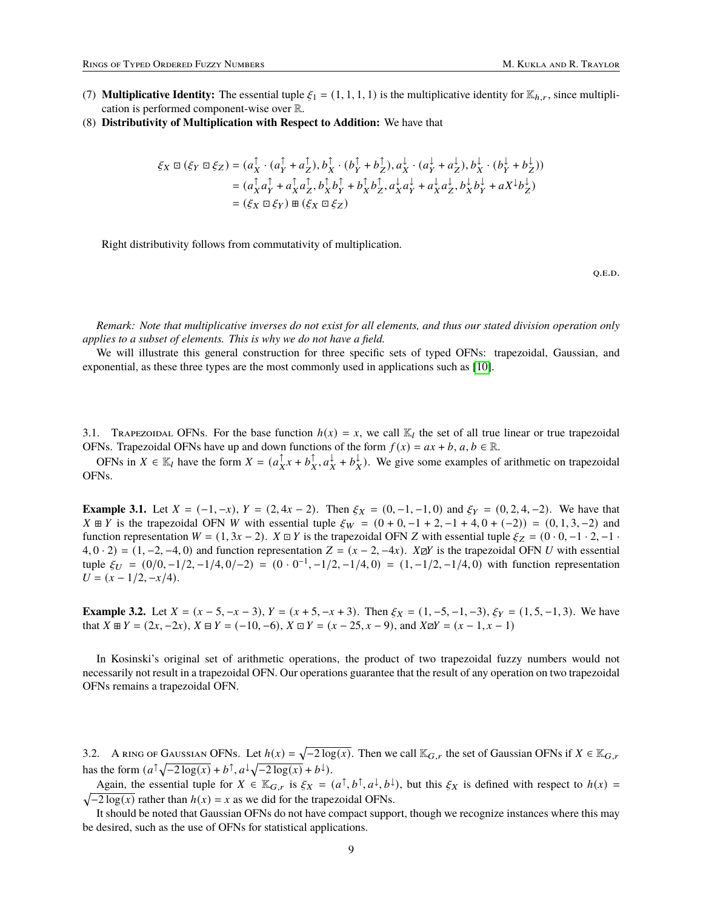- (7) **Multiplicative Identity:** The essential tuple  $\xi_1 = (1, 1, 1, 1)$  is the multiplicative identity for  $\mathbb{K}_{h,r}$ , since multiplication is performed component-wise over R.
- (8) **Distributivity of Multiplication with Respect to Addition:** We have that

$$
\xi_X \boxdot (\xi_Y \boxdot \xi_Z) = (a_X^{\uparrow} \cdot (a_Y^{\uparrow} + a_Z^{\uparrow}), b_X^{\uparrow} \cdot (b_Y^{\uparrow} + b_Z^{\uparrow}), a_X^{\downarrow} \cdot (a_Y^{\downarrow} + a_Z^{\downarrow}), b_X^{\downarrow} \cdot (b_Y^{\downarrow} + b_Z^{\downarrow}))
$$
  
=  $(a_X^{\uparrow} a_Y^{\uparrow} + a_X^{\uparrow} a_Z^{\uparrow}, b_X^{\uparrow} b_Y^{\uparrow} + b_X^{\uparrow} b_Z^{\uparrow}, a_X^{\downarrow} a_Y^{\downarrow} + a_X^{\downarrow} a_Z^{\downarrow}, b_X^{\downarrow} b_Y^{\downarrow} + a_X^{\downarrow} b_Z^{\downarrow})$   
=  $(\xi_X \boxdot \xi_Y) \boxplus (\xi_X \boxdot \xi_Z)$ 

Right distributivity follows from commutativity of multiplication.

q.e.d.

*Remark: Note that multiplicative inverses do not exist for all elements, and thus our stated division operation only applies to a subset of elements. This is why we do not have a field.*

We will illustrate this general construction for three specific sets of typed OFNs: trapezoidal, Gaussian, and exponential, as these three types are the most commonly used in applications such as [\[10\]](#page-11-0).

3.1. TRAPEZOIDAL OFNs. For the base function  $h(x) = x$ , we call  $\mathbb{K}_l$  the set of all true linear or true trapezoidal OFNs. Trapezoidal OFNs have up and down functions of the form  $f(x) = ax + b$ ,  $a, b \in \mathbb{R}$ .

OFNs in  $X \in \mathbb{K}_l$  have the form  $X = (a_X^{\uparrow} x + b_X^{\uparrow}, a_X^{\downarrow} + b_X^{\downarrow})$ . We give some examples of arithmetic on trapezoidal OFNs.

**Example 3.1.** Let  $X = (-1, -x)$ ,  $Y = (2, 4x - 2)$ . Then  $\xi_X = (0, -1, -1, 0)$  and  $\xi_Y = (0, 2, 4, -2)$ . We have that  $X \ncong Y$  is the trapezoidal OFN W with essential tuple  $\xi_W = (0 + 0, -1 + 2, -1 + 4, 0 + (-2)) = (0, 1, 3, -2)$  and function representation  $W = (1, 3x - 2)$ .  $X \square Y$  is the trapezoidal OFN Z with essential tuple  $\xi_Z = (0 \cdot 0, -1 \cdot 2, -1 \cdot 2)$  $4, 0 \cdot 2$  =  $(1, -2, -4, 0)$  and function representation  $Z = (x - 2, -4x)$ .  $X \boxtimes Y$  is the trapezoidal OFN U with essential tuple  $\xi_U = (0/0, -1/2, -1/4, 0/2) = (0 \cdot 0^{-1}, -1/2, -1/4, 0) = (1, -1/2, -1/4, 0)$  with function representation  $U = (x - 1/2, -x/4).$ 

**Example 3.2.** Let  $X = (x - 5, -x - 3), Y = (x + 5, -x + 3)$ . Then  $\xi_X = (1, -5, -1, -3), \xi_Y = (1, 5, -1, 3)$ . We have that  $X \boxplus Y = (2x, -2x), X \boxplus Y = (-10, -6), X \boxplus Y = (x - 25, x - 9),$  and  $X \boxtimes Y = (x - 1, x - 1)$ 

In Kosinski's original set of arithmetic operations, the product of two trapezoidal fuzzy numbers would not necessarily not result in a trapezoidal OFN. Our operations guarantee that the result of any operation on two trapezoidal OFNs remains a trapezoidal OFN.

3.2. A RING OF GAUSSIAN OFNS. Let  $h(x) = \sqrt{-2 \log(x)}$ . Then we call  $\mathbb{K}_{G,r}$  the set of Gaussian OFNs if  $X \in \mathbb{K}_{G,r}$ has the form  $(a^{\uparrow}\sqrt{-2\log(x)} + b^{\uparrow}, a^{\downarrow}\sqrt{-2\log(x)} + b^{\downarrow}).$ 

Again, the essential tuple for  $X \in \mathbb{K}_{G,r}$  is  $\xi_X = (a^{\uparrow}, b^{\uparrow}, a^{\downarrow}, b^{\downarrow})$ , but this  $\xi_X$  is defined with respect to  $h(x) =$  $\sqrt{-2 \log(x)}$  rather than  $h(x) = x$  as we did for the trapezoidal OFNs.

It should be noted that Gaussian OFNs do not have compact support, though we recognize instances where this may be desired, such as the use of OFNs for statistical applications.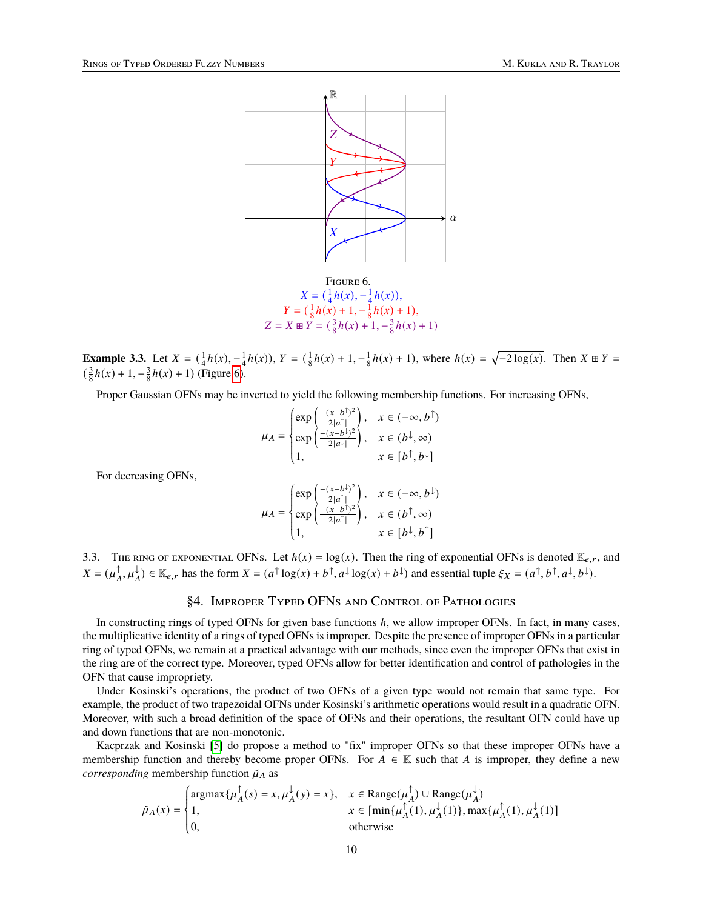<span id="page-9-0"></span>

Figure 6.  $X = (\frac{1}{4}h(x), -\frac{1}{4}h(x)),$  $Y = (\frac{1}{8}h(x) + 1, -\frac{1}{8}h(x) + 1),$  $Z = X \boxplus Y = \left(\frac{3}{8}h(x) + 1, -\frac{3}{8}h(x) + 1\right)$ 

**Example 3.3.** Let  $X = (\frac{1}{4}h(x), -\frac{1}{4}h(x))$ ,  $Y = (\frac{1}{8}h(x) + 1, -\frac{1}{8}h(x) + 1)$ , where  $h(x) = \sqrt{-2 \log(x)}$ . Then  $X \boxplus Y =$  $\left(\frac{3}{8}h(x) + 1, -\frac{3}{8}h(x) + 1\right)$  (Figure [6\)](#page-9-0).

Proper Gaussian OFNs may be inverted to yield the following membership functions. For increasing OFNs,

$$
\mu_A = \begin{cases} \exp\left(\frac{-(x-b^{\dagger})^2}{2|a^{\dagger}|}\right), & x \in (-\infty, b^{\dagger})\\ \exp\left(\frac{-(x-b^{\dagger})^2}{2|a^{\dagger}|}\right), & x \in (b^{\dagger}, \infty)\\ 1, & x \in [b^{\dagger}, b^{\dagger}] \end{cases}
$$

For decreasing OFNs,

$$
\mu_A = \begin{cases} \exp\left(\frac{-(x-b^1)^2}{2|a^{\uparrow}|}\right), & x \in (-\infty, b^{\downarrow})\\ \exp\left(\frac{-(x-b^{\uparrow})^2}{2|a^{\uparrow}|}\right), & x \in (b^{\uparrow}, \infty)\\ 1, & x \in [b^{\downarrow}, b^{\uparrow}] \end{cases}
$$

3.3. THE RING OF EXPONENTIAL OFNs. Let  $h(x) = \log(x)$ . Then the ring of exponential OFNs is denoted  $\mathbb{K}_{e,r}$ , and  $X = (\mu_A^{\uparrow}, \mu_A^{\downarrow}) \in \mathbb{K}_{e,r}$  has the form  $X = (a^{\uparrow} \log(x) + b^{\uparrow}, a^{\downarrow} \log(x) + b^{\downarrow})$  and essential tuple  $\xi_X = (a^{\uparrow}, b^{\uparrow}, a^{\downarrow}, b^{\downarrow})$ .

# §4. Improper Typed OFNs and Control of Pathologies

In constructing rings of typed OFNs for given base functions  $h$ , we allow improper OFNs. In fact, in many cases, the multiplicative identity of a rings of typed OFNs is improper. Despite the presence of improper OFNs in a particular ring of typed OFNs, we remain at a practical advantage with our methods, since even the improper OFNs that exist in the ring are of the correct type. Moreover, typed OFNs allow for better identification and control of pathologies in the OFN that cause impropriety.

Under Kosinski's operations, the product of two OFNs of a given type would not remain that same type. For example, the product of two trapezoidal OFNs under Kosinski's arithmetic operations would result in a quadratic OFN. Moreover, with such a broad definition of the space of OFNs and their operations, the resultant OFN could have up and down functions that are non-monotonic.

Kacprzak and Kosinski [\[5\]](#page-11-9) do propose a method to "fix" improper OFNs so that these improper OFNs have a membership function and thereby become proper OFNs. For  $A \in \mathbb{K}$  such that A is improper, they define a new *corresponding* membership function  $\tilde{\mu}_A$  as

$$
\tilde{\mu}_A(x) = \begin{cases}\n\arg\max{\{\mu_A^{\uparrow}(s) = x, \mu_A^{\downarrow}(y) = x\}}, & x \in \text{Range}(\mu_A^{\uparrow}) \cup \text{Range}(\mu_A^{\downarrow}) \\
1, & x \in [\min{\{\mu_A^{\uparrow}(1), \mu_A^{\downarrow}(1)\}}, \max{\{\mu_A^{\uparrow}(1), \mu_A^{\downarrow}(1)\}} \\
0, & \text{otherwise}\n\end{cases}
$$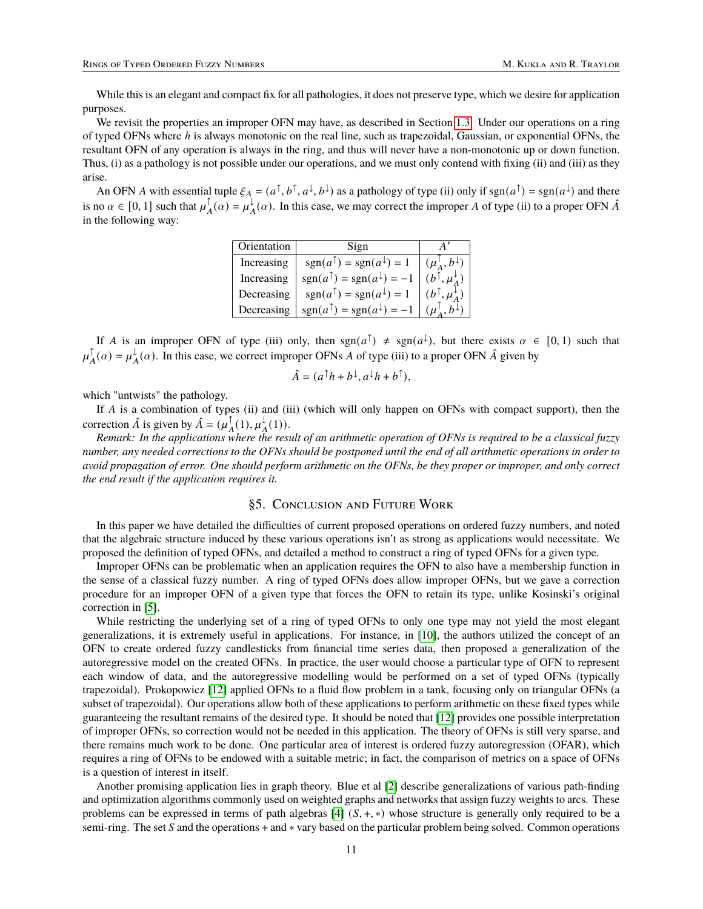While this is an elegant and compact fix for all pathologies, it does not preserve type, which we desire for application purposes.

We revisit the properties an improper OFN may have, as described in Section [1.3.](#page-1-1) Under our operations on a ring of typed OFNs where h is always monotonic on the real line, such as trapezoidal, Gaussian, or exponential OFNs, the resultant OFN of any operation is always in the ring, and thus will never have a non-monotonic up or down function. Thus, (i) as a pathology is not possible under our operations, and we must only contend with fixing (ii) and (iii) as they arise.

An OFN A with essential tuple  $\xi_A = (a^{\uparrow}, b^{\uparrow}, a^{\downarrow}, b^{\downarrow})$  as a pathology of type (ii) only if  $sgn(a^{\uparrow}) = sgn(a^{\downarrow})$  and there is no  $\alpha \in [0, 1]$  such that  $\mu_A^{\uparrow}(\alpha) = \mu_A^{\downarrow}(\alpha)$ . In this case, we may correct the improper A of type (ii) to a proper OFN  $\hat{A}$ in the following way:

| Orientation | Sign                                           |                                      |
|-------------|------------------------------------------------|--------------------------------------|
| Increasing  | $sgn(a^{\uparrow}) = sgn(a^{\downarrow}) = 1$  | $(\mu_{\Lambda}^{\perp}, b^{\perp})$ |
| Increasing  | $sgn(a^{\uparrow}) = sgn(a^{\downarrow}) = -1$ | $(b^{\uparrow}, \mu^{\downarrow})$   |
| Decreasing  | $sgn(a^{\uparrow}) = sgn(a^{\downarrow}) = 1$  | $(b^{\dagger}, \mu^{\downarrow})$    |
| Decreasing  | $sgn(a^{\uparrow}) = sgn(a^{\downarrow}) = -1$ |                                      |

If A is an improper OFN of type (iii) only, then  $sgn(a^{\uparrow}) \neq sgn(a^{\downarrow})$ , but there exists  $\alpha \in [0,1)$  such that  $\mu_A^{\uparrow}(\alpha) = \mu_A^{\downarrow}(\alpha)$ . In this case, we correct improper OFNs A of type (iii) to a proper OFN  $\hat{A}$  given by

$$
\hat{A} = (a^{\dagger}h + b^{\dagger}, a^{\dagger}h + b^{\dagger}),
$$

which "untwists" the pathology.

If A is a combination of types (ii) and (iii) (which will only happen on OFNs with compact support), then the correction  $\hat{A}$  is given by  $\hat{A} = (\mu_A^{\uparrow}(1), \mu_A^{\downarrow}(1)).$ 

*Remark: In the applications where the result of an arithmetic operation of OFNs is required to be a classical fuzzy number, any needed corrections to the OFNs should be postponed until the end of all arithmetic operations in order to avoid propagation of error. One should perform arithmetic on the OFNs, be they proper or improper, and only correct the end result if the application requires it.*

# §5. Conclusion and Future Work

In this paper we have detailed the difficulties of current proposed operations on ordered fuzzy numbers, and noted that the algebraic structure induced by these various operations isn't as strong as applications would necessitate. We proposed the definition of typed OFNs, and detailed a method to construct a ring of typed OFNs for a given type.

Improper OFNs can be problematic when an application requires the OFN to also have a membership function in the sense of a classical fuzzy number. A ring of typed OFNs does allow improper OFNs, but we gave a correction procedure for an improper OFN of a given type that forces the OFN to retain its type, unlike Kosinski's original correction in [\[5\]](#page-11-9).

While restricting the underlying set of a ring of typed OFNs to only one type may not yield the most elegant generalizations, it is extremely useful in applications. For instance, in [\[10\]](#page-11-0), the authors utilized the concept of an OFN to create ordered fuzzy candlesticks from financial time series data, then proposed a generalization of the autoregressive model on the created OFNs. In practice, the user would choose a particular type of OFN to represent each window of data, and the autoregressive modelling would be performed on a set of typed OFNs (typically trapezoidal). Prokopowicz [\[12\]](#page-11-12) applied OFNs to a fluid flow problem in a tank, focusing only on triangular OFNs (a subset of trapezoidal). Our operations allow both of these applications to perform arithmetic on these fixed types while guaranteeing the resultant remains of the desired type. It should be noted that [\[12\]](#page-11-12) provides one possible interpretation of improper OFNs, so correction would not be needed in this application. The theory of OFNs is still very sparse, and there remains much work to be done. One particular area of interest is ordered fuzzy autoregression (OFAR), which requires a ring of OFNs to be endowed with a suitable metric; in fact, the comparison of metrics on a space of OFNs is a question of interest in itself.

Another promising application lies in graph theory. Blue et al [\[2\]](#page-11-13) describe generalizations of various path-finding and optimization algorithms commonly used on weighted graphs and networks that assign fuzzy weights to arcs. These problems can be expressed in terms of path algebras  $[4]$   $(S, +, *)$  whose structure is generally only required to be a semi-ring. The set S and the operations + and  $*$  vary based on the particular problem being solved. Common operations